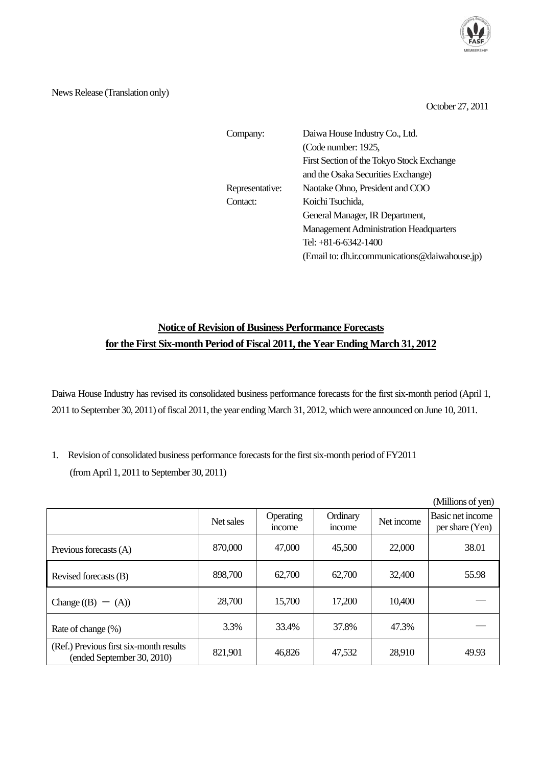

News Release (Translation only)

October 27, 2011

| Company:        | Daiwa House Industry Co., Ltd.                 |  |  |  |
|-----------------|------------------------------------------------|--|--|--|
|                 | (Code number: 1925,                            |  |  |  |
|                 | First Section of the Tokyo Stock Exchange      |  |  |  |
|                 | and the Osaka Securities Exchange)             |  |  |  |
| Representative: | Naotake Ohno, President and COO                |  |  |  |
| Contact:        | Koichi Tsuchida,                               |  |  |  |
|                 | General Manager, IR Department,                |  |  |  |
|                 | <b>Management Administration Headquarters</b>  |  |  |  |
|                 | Tel: +81-6-6342-1400                           |  |  |  |
|                 | (Email to: dh.ir.communications@daiwahouse.jp) |  |  |  |

## **Notice of Revision of Business Performance Forecasts for the First Six-month Period of Fiscal 2011, the Year Ending March 31, 2012**

Daiwa House Industry has revised its consolidated business performance forecasts for the first six-month period (April 1, 2011 to September 30, 2011) of fiscal 2011, the year ending March 31, 2012, which were announced on June 10, 2011.

1. Revision of consolidated business performance forecasts for the first six-month period of FY2011 (from April 1, 2011 to September 30, 2011)

|                                                                       |           |                           |                    |            | (Millions of yen)                          |
|-----------------------------------------------------------------------|-----------|---------------------------|--------------------|------------|--------------------------------------------|
|                                                                       | Net sales | Operating<br><i>ncome</i> | Ordinary<br>income | Net income | <b>Basic net income</b><br>per share (Yen) |
| Previous forecasts (A)                                                | 870,000   | 47,000                    | 45,500             | 22,000     | 38.01                                      |
| Revised forecasts (B)                                                 | 898,700   | 62,700                    | 62,700             | 32,400     | 55.98                                      |
| Change $(B) - (A)$                                                    | 28,700    | 15,700                    | 17,200             | 10,400     |                                            |
| Rate of change (%)                                                    | 3.3%      | 33.4%                     | 37.8%              | 47.3%      |                                            |
| (Ref.) Previous first six-month results<br>(ended September 30, 2010) | 821,901   | 46,826                    | 47,532             | 28,910     | 49.93                                      |